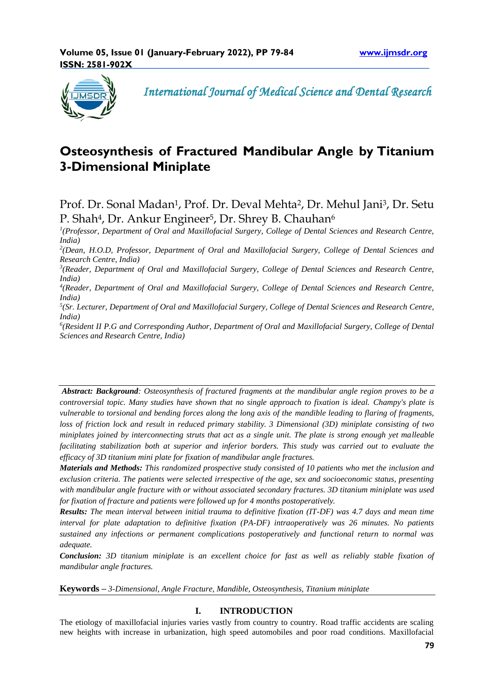

 *International Journal of Medical Science and Dental Research*

# **Osteosynthesis of Fractured Mandibular Angle by Titanium 3-Dimensional Miniplate**

Prof. Dr. Sonal Madan<sup>1</sup>, Prof. Dr. Deval Mehta<sup>2</sup>, Dr. Mehul Jani<sup>3</sup>, Dr. Setu P. Shah<sup>4</sup>, Dr. Ankur Engineer<sup>5</sup>, Dr. Shrey B. Chauhan<sup>6</sup>

*1 (Professor, Department of Oral and Maxillofacial Surgery, College of Dental Sciences and Research Centre, India)*

*2 (Dean, H.O.D, Professor, Department of Oral and Maxillofacial Surgery, College of Dental Sciences and Research Centre, India)*

<sup>3</sup>(Reader, Department of Oral and Maxillofacial Surgery, College of Dental Sciences and Research Centre, *India)*

*4 (Reader, Department of Oral and Maxillofacial Surgery, College of Dental Sciences and Research Centre, India)*

*5 (Sr. Lecturer, Department of Oral and Maxillofacial Surgery, College of Dental Sciences and Research Centre, India)*

*6 (Resident II P.G and Corresponding Author, Department of Oral and Maxillofacial Surgery, College of Dental Sciences and Research Centre, India)*

*Abstract: Background: Osteosynthesis of fractured fragments at the mandibular angle region proves to be a controversial topic. Many studies have shown that no single approach to fixation is ideal. Champy's plate is vulnerable to torsional and bending forces along the long axis of the mandible leading to flaring of fragments, loss of friction lock and result in reduced primary stability. 3 Dimensional (3D) miniplate consisting of two miniplates joined by interconnecting struts that act as a single unit. The plate is strong enough yet malleable facilitating stabilization both at superior and inferior borders. This study was carried out to evaluate the efficacy of 3D titanium mini plate for fixation of mandibular angle fractures.* 

*Materials and Methods: This randomized prospective study consisted of 10 patients who met the inclusion and exclusion criteria. The patients were selected irrespective of the age, sex and socioeconomic status, presenting with mandibular angle fracture with or without associated secondary fractures. 3D titanium miniplate was used for fixation of fracture and patients were followed up for 4 months postoperatively.* 

*Results: The mean interval between initial trauma to definitive fixation (IT-DF) was 4.7 days and mean time interval for plate adaptation to definitive fixation (PA-DF) intraoperatively was 26 minutes. No patients sustained any infections or permanent complications postoperatively and functional return to normal was adequate.* 

*Conclusion: 3D titanium miniplate is an excellent choice for fast as well as reliably stable fixation of mandibular angle fractures.*

**Keywords** *– 3-Dimensional, Angle Fracture, Mandible, Osteosynthesis, Titanium miniplate*

# **I. INTRODUCTION**

The etiology of maxillofacial injuries varies vastly from country to country. Road traffic accidents are scaling new heights with increase in urbanization, high speed automobiles and poor road conditions. Maxillofacial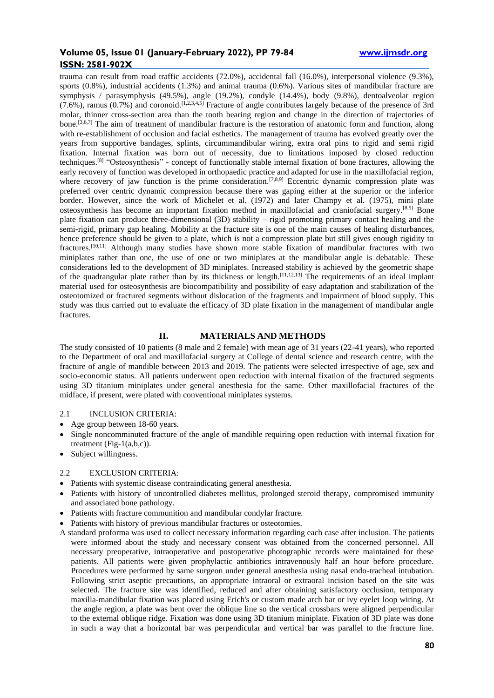trauma can result from road traffic accidents (72.0%), accidental fall (16.0%), interpersonal violence (9.3%), sports (0.8%), industrial accidents (1.3%) and animal trauma (0.6%). Various sites of mandibular fracture are symphysis / parasymphysis (49.5%), angle (19.2%), condyle (14.4%), body (9.8%), dentoalveolar region  $(7.6\%)$ , ramus  $(0.7\%)$  and coronoid.<sup>[1,2,3,4,5]</sup> Fracture of angle contributes largely because of the presence of 3rd molar, thinner cross-section area than the tooth bearing region and change in the direction of trajectories of bone.[3,6,7] The aim of treatment of mandibular fracture is the restoration of anatomic form and function, along with re-establishment of occlusion and facial esthetics. The management of trauma has evolved greatly over the years from supportive bandages, splints, circummandibular wiring, extra oral pins to rigid and semi rigid fixation. Internal fixation was born out of necessity, due to limitations imposed by closed reduction techniques.<sup>[8]</sup> "Osteosynthesis" - concept of functionally stable internal fixation of bone fractures, allowing the early recovery of function was developed in orthopaedic practice and adapted for use in the maxillofacial region, where recovery of jaw function is the prime consideration.<sup>[7,8,9]</sup> Eccentric dynamic compression plate was preferred over centric dynamic compression because there was gaping either at the superior or the inferior border. However, since the work of Michelet et al. (1972) and later Champy et al. (1975), mini plate osteosynthesis has become an important fixation method in maxillofacial and craniofacial surgery.[8,9] Bone plate fixation can produce three-dimensional (3D) stability – rigid promoting primary contact healing and the semi-rigid, primary gap healing. Mobility at the fracture site is one of the main causes of healing disturbances, hence preference should be given to a plate, which is not a compression plate but still gives enough rigidity to fractures.[10,11] Although many studies have shown more stable fixation of mandibular fractures with two miniplates rather than one, the use of one or two miniplates at the mandibular angle is debatable. These considerations led to the development of 3D miniplates. Increased stability is achieved by the geometric shape of the quadrangular plate rather than by its thickness or length.[11,12,13] The requirements of an ideal implant material used for osteosynthesis are biocompatibility and possibility of easy adaptation and stabilization of the osteotomized or fractured segments without dislocation of the fragments and impairment of blood supply. This study was thus carried out to evaluate the efficacy of 3D plate fixation in the management of mandibular angle fractures.

## **II. MATERIALS AND METHODS**

The study consisted of 10 patients (8 male and 2 female) with mean age of 31 years (22-41 years), who reported to the Department of oral and maxillofacial surgery at College of dental science and research centre, with the fracture of angle of mandible between 2013 and 2019. The patients were selected irrespective of age, sex and socio-economic status. All patients underwent open reduction with internal fixation of the fractured segments using 3D titanium miniplates under general anesthesia for the same. Other maxillofacial fractures of the midface, if present, were plated with conventional miniplates systems.

## 2.1 INCLUSION CRITERIA:

- Age group between 18-60 years.
- Single noncomminuted fracture of the angle of mandible requiring open reduction with internal fixation for treatment  $(Fig-1(a,b,c))$ .
- Subject willingness.

#### 2.2 EXCLUSION CRITERIA:

- Patients with systemic disease contraindicating general anesthesia.
- Patients with history of uncontrolled diabetes mellitus, prolonged steroid therapy, compromised immunity and associated bone pathology.
- Patients with fracture communition and mandibular condylar fracture.
- Patients with history of previous mandibular fractures or osteotomies.
- A standard proforma was used to collect necessary information regarding each case after inclusion. The patients were informed about the study and necessary consent was obtained from the concerned personnel. All necessary preoperative, intraoperative and postoperative photographic records were maintained for these patients. All patients were given prophylactic antibiotics intravenously half an hour before procedure. Procedures were performed by same surgeon under general anesthesia using nasal endo-tracheal intubation. Following strict aseptic precautions, an appropriate intraoral or extraoral incision based on the site was selected. The fracture site was identified, reduced and after obtaining satisfactory occlusion, temporary maxilla-mandibular fixation was placed using Erich's or custom made arch bar or ivy eyelet loop wiring. At the angle region, a plate was bent over the oblique line so the vertical crossbars were aligned perpendicular to the external oblique ridge. Fixation was done using 3D titanium miniplate. Fixation of 3D plate was done in such a way that a horizontal bar was perpendicular and vertical bar was parallel to the fracture line.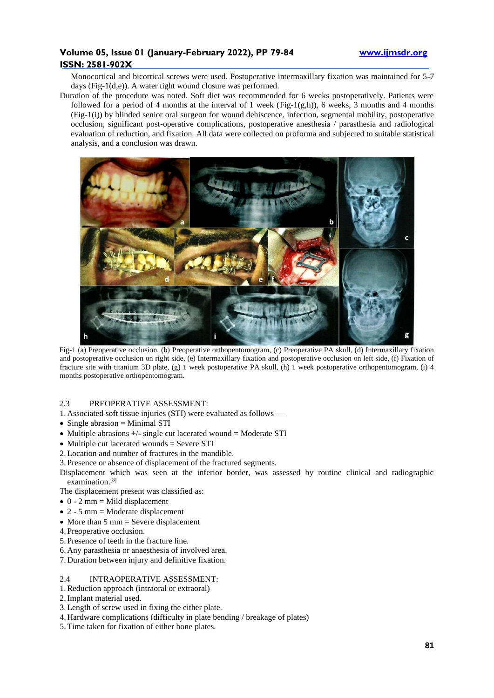Monocortical and bicortical screws were used. Postoperative intermaxillary fixation was maintained for 5-7 days (Fig-1(d,e)). A water tight wound closure was performed.

Duration of the procedure was noted. Soft diet was recommended for 6 weeks postoperatively. Patients were followed for a period of 4 months at the interval of 1 week (Fig-1(g,h)), 6 weeks, 3 months and 4 months (Fig-1(i)) by blinded senior oral surgeon for wound dehiscence, infection, segmental mobility, postoperative occlusion, significant post-operative complications, postoperative anesthesia / parasthesia and radiological evaluation of reduction, and fixation. All data were collected on proforma and subjected to suitable statistical analysis, and a conclusion was drawn.



Fig-1 (a) Preoperative occlusion, (b) Preoperative orthopentomogram, (c) Preoperative PA skull, (d) Intermaxillary fixation and postoperative occlusion on right side, (e) Intermaxillary fixation and postoperative occlusion on left side, (f) Fixation of fracture site with titanium 3D plate, (g) 1 week postoperative PA skull, (h) 1 week postoperative orthopentomogram, (i) 4 months postoperative orthopentomogram.

# 2.3 PREOPERATIVE ASSESSMENT:

- 1. Associated soft tissue injuries (STI) were evaluated as follows —
- Single abrasion = Minimal STI
- Multiple abrasions +/- single cut lacerated wound = Moderate STI
- Multiple cut lacerated wounds = Severe STI
- 2.Location and number of fractures in the mandible.
- 3. Presence or absence of displacement of the fractured segments.

Displacement which was seen at the inferior border, was assessed by routine clinical and radiographic examination.<sup>[8]</sup>

The displacement present was classified as:

- $\bullet$  0 2 mm = Mild displacement
- $\bullet$  2 5 mm = Moderate displacement
- More than  $5 \text{ mm} = \text{Severe displacement}$
- 4. Preoperative occlusion.
- 5. Presence of teeth in the fracture line.
- 6. Any parasthesia or anaesthesia of involved area.
- 7. Duration between injury and definitive fixation.

#### 2.4 INTRAOPERATIVE ASSESSMENT:

- 1.Reduction approach (intraoral or extraoral)
- 2.Implant material used.
- 3.Length of screw used in fixing the either plate.
- 4. Hardware complications (difficulty in plate bending / breakage of plates)
- 5.Time taken for fixation of either bone plates.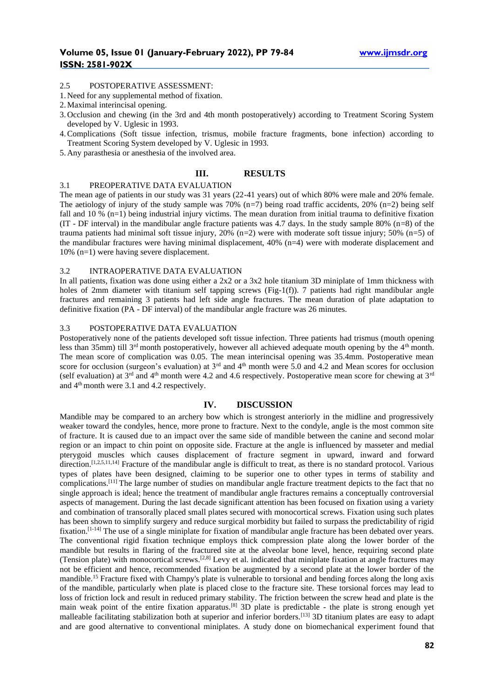#### 2.5 POSTOPERATIVE ASSESSMENT:

- 1. Need for any supplemental method of fixation.
- 2.Maximal interincisal opening.
- 3. Occlusion and chewing (in the 3rd and 4th month postoperatively) according to Treatment Scoring System developed by V. Uglesic in 1993.
- 4.Complications (Soft tissue infection, trismus, mobile fracture fragments, bone infection) according to Treatment Scoring System developed by V. Uglesic in 1993.
- 5. Any parasthesia or anesthesia of the involved area.

#### **III. RESULTS**

#### 3.1 PREOPERATIVE DATA EVALUATION

The mean age of patients in our study was 31 years (22-41 years) out of which 80% were male and 20% female. The aetiology of injury of the study sample was 70%  $(n=7)$  being road traffic accidents, 20%  $(n=2)$  being self fall and 10 % (n=1) being industrial injury victims. The mean duration from initial trauma to definitive fixation (IT - DF interval) in the mandibular angle fracture patients was 4.7 days. In the study sample 80% (n=8) of the trauma patients had minimal soft tissue injury, 20% (n=2) were with moderate soft tissue injury; 50% (n=5) of the mandibular fractures were having minimal displacement, 40% (n=4) were with moderate displacement and 10% (n=1) were having severe displacement.

### 3.2 INTRAOPERATIVE DATA EVALUATION

In all patients, fixation was done using either a 2x2 or a 3x2 hole titanium 3D miniplate of 1mm thickness with holes of 2mm diameter with titanium self tapping screws (Fig-1(f)). 7 patients had right mandibular angle fractures and remaining 3 patients had left side angle fractures. The mean duration of plate adaptation to definitive fixation (PA - DF interval) of the mandibular angle fracture was 26 minutes.

## 3.3 POSTOPERATIVE DATA EVALUATION

Postoperatively none of the patients developed soft tissue infection. Three patients had trismus (mouth opening less than 35mm) till 3<sup>rd</sup> month postoperatively, however all achieved adequate mouth opening by the 4<sup>th</sup> month. The mean score of complication was 0.05. The mean interincisal opening was 35.4mm. Postoperative mean score for occlusion (surgeon's evaluation) at  $3^{rd}$  and  $4^{th}$  month were 5.0 and 4.2 and Mean scores for occlusion (self evaluation) at  $3^{rd}$  and  $4^{th}$  month were 4.2 and 4.6 respectively. Postoperative mean score for chewing at  $3^{rd}$ and 4th month were 3.1 and 4.2 respectively.

## **IV. DISCUSSION**

Mandible may be compared to an archery bow which is strongest anteriorly in the midline and progressively weaker toward the condyles, hence, more prone to fracture. Next to the condyle, angle is the most common site of fracture. It is caused due to an impact over the same side of mandible between the canine and second molar region or an impact to chin point on opposite side. Fracture at the angle is influenced by masseter and medial pterygoid muscles which causes displacement of fracture segment in upward, inward and forward direction.<sup>[1,2,5,11,14]</sup> Fracture of the mandibular angle is difficult to treat, as there is no standard protocol. Various types of plates have been designed, claiming to be superior one to other types in terms of stability and complications.[11] The large number of studies on mandibular angle fracture treatment depicts to the fact that no single approach is ideal; hence the treatment of mandibular angle fractures remains a conceptually controversial aspects of management. During the last decade significant attention has been focused on fixation using a variety and combination of transorally placed small plates secured with monocortical screws. Fixation using such plates has been shown to simplify surgery and reduce surgical morbidity but failed to surpass the predictability of rigid fixation.[1-14] The use of a single miniplate for fixation of mandibular angle fracture has been debated over years. The conventional rigid fixation technique employs thick compression plate along the lower border of the mandible but results in flaring of the fractured site at the alveolar bone level, hence, requiring second plate (Tension plate) with monocortical screws.[2,8] Levy et al. indicated that miniplate fixation at angle fractures may not be efficient and hence, recommended fixation be augmented by a second plate at the lower border of the mandible.<sup>15</sup> Fracture fixed with Champy's plate is vulnerable to torsional and bending forces along the long axis of the mandible, particularly when plate is placed close to the fracture site. These torsional forces may lead to loss of friction lock and result in reduced primary stability. The friction between the screw head and plate is the main weak point of the entire fixation apparatus.[8] 3D plate is predictable - the plate is strong enough yet malleable facilitating stabilization both at superior and inferior borders.<sup>[13]</sup> 3D titanium plates are easy to adapt and are good alternative to conventional miniplates. A study done on biomechanical experiment found that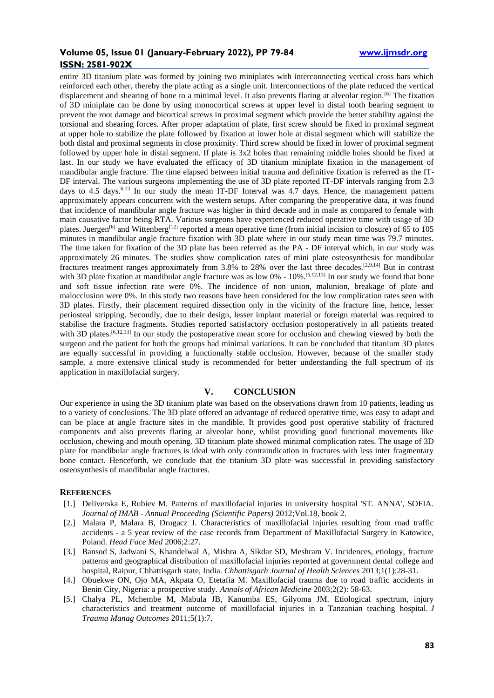entire 3D titanium plate was formed by joining two miniplates with interconnecting vertical cross bars which reinforced each other, thereby the plate acting as a single unit. Interconnections of the plate reduced the vertical displacement and shearing of bone to a minimal level. It also prevents flaring at alveolar region.<sup>[6]</sup> The fixation of 3D miniplate can be done by using monocortical screws at upper level in distal tooth bearing segment to prevent the root damage and bicortical screws in proximal segment which provide the better stability against the torsional and shearing forces. After proper adaptation of plate, first screw should be fixed in proximal segment at upper hole to stabilize the plate followed by fixation at lower hole at distal segment which will stabilize the both distal and proximal segments in close proximity. Third screw should be fixed in lower of proximal segment followed by upper hole in distal segment. If plate is 3x2 holes than remaining middle holes should be fixed at last. In our study we have evaluated the efficacy of 3D titanium miniplate fixation in the management of mandibular angle fracture. The time elapsed between initial trauma and definitive fixation is referred as the IT-DF interval. The various surgeons implementing the use of 3D plate reported IT-DF intervals ranging from 2.3 days to 4.5 days.<sup>6,13</sup> In our study the mean IT-DF Interval was 4.7 days. Hence, the management pattern approximately appears concurrent with the western setups. After comparing the preoperative data, it was found that incidence of mandibular angle fracture was higher in third decade and in male as compared to female with main causative factor being RTA. Various surgeons have experienced reduced operative time with usage of 3D plates. Juergen<sup>[6]</sup> and Wittenberg<sup>[12]</sup> reported a mean operative time (from initial incision to closure) of 65 to 105 minutes in mandibular angle fracture fixation with 3D plate where in our study mean time was 79.7 minutes. The time taken for fixation of the 3D plate has been referred as the PA - DF interval which, in our study was approximately 26 minutes. The studies show complication rates of mini plate osteosynthesis for mandibular fractures treatment ranges approximately from 3.8% to 28% over the last three decades.[2,9,14] But in contrast with 3D plate fixation at mandibular angle fracture was as low  $0\%$  -  $10\%$ .<sup>[6,12,13]</sup> In our study we found that bone and soft tissue infection rate were 0%. The incidence of non union, malunion, breakage of plate and malocclusion were 0%. In this study two reasons have been considered for the low complication rates seen with 3D plates. Firstly, their placement required dissection only in the vicinity of the fracture line, hence, lesser periosteal stripping. Secondly, due to their design, lesser implant material or foreign material was required to stabilise the fracture fragments. Studies reported satisfactory occlusion postoperatively in all patients treated with 3D plates.<sup>[6,12,13]</sup> In our study the postoperative mean score for occlusion and chewing viewed by both the surgeon and the patient for both the groups had minimal variations. It can be concluded that titanium 3D plates are equally successful in providing a functionally stable occlusion. However, because of the smaller study sample, a more extensive clinical study is recommended for better understanding the full spectrum of its application in maxillofacial surgery.

## **V. CONCLUSION**

Our experience in using the 3D titanium plate was based on the observations drawn from 10 patients, leading us to a variety of conclusions. The 3D plate offered an advantage of reduced operative time, was easy to adapt and can be place at angle fracture sites in the mandible. It provides good post operative stability of fractured components and also prevents flaring at alveolar bone, whilst providing good functional movements like occlusion, chewing and mouth opening. 3D titanium plate showed minimal complication rates. The usage of 3D plate for mandibular angle fractures is ideal with only contraindication in fractures with less inter fragmentary bone contact. Henceforth, we conclude that the titanium 3D plate was successful in providing satisfactory osteosynthesis of mandibular angle fractures.

#### **REFERENCES**

- [1.] Deliverska E, Rubiev M. Patterns of maxillofacial injuries in university hospital 'ST. ANNA', SOFIA. *Journal of IMAB - Annual Proceeding (Scientific Papers)* 2012;Vol.18, book 2.
- [2.] Malara P, Malara B, Drugacz J. Characteristics of maxillofacial injuries resulting from road traffic accidents - a 5 year review of the case records from Department of Maxillofacial Surgery in Katowice, Poland. *Head Face Med* 2006;2:27.
- [3.] Bansod S, Jadwani S, Khandelwal A, Mishra A, Sikdar SD, Meshram V. Incidences, etiology, fracture patterns and geographical distribution of maxillofacial injuries reported at government dental college and hospital, Raipur, Chhattisgarh state, India. *Chhattisgarh Journal of Health Sciences* 2013;1(1):28-31.
- [4.] Obuekwe ON, Ojo MA, Akpata O, Etetafia M. Maxillofacial trauma due to road traffic accidents in Benin City, Nigeria: a prospective study. *Annals of African Medicine* 2003;2(2): 58-63.
- [5.] Chalya PL, Mchembe M, Mabula JB, Kanumba ES, Gilyoma JM. Etiological spectrum, injury characteristics and treatment outcome of maxillofacial injuries in a Tanzanian teaching hospital. *J Trauma Manag Outcomes* 2011;5(1):7.